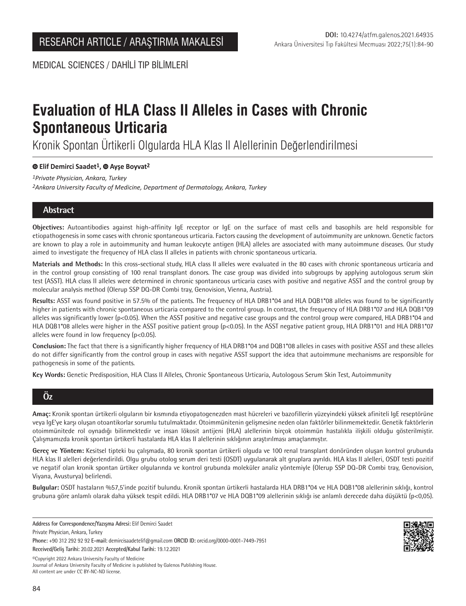MEDICAL SCIENCES / DAHİLİ TIP BİLİMLERİ

# **Evaluation of HLA Class II Alleles in Cases with Chronic Spontaneous Urticaria**

Kronik Spontan Ürtikerli Olgularda HLA Klas II Alellerinin Değerlendirilmesi

# **Elif Demirci Saadet1,Ayşe Boyvat2**

*1Private Physician, Ankara, Turkey 2Ankara University Faculty of Medicine, Department of Dermatology, Ankara, Turkey*

# **Abstract**

**Objectives:** Autoantibodies against high-affinity IgE receptor or IgE on the surface of mast cells and basophils are held responsible for etiopathogenesis in some cases with chronic spontaneous urticaria. Factors causing the development of autoimmunity are unknown. Genetic factors are known to play a role in autoimmunity and human leukocyte antigen (HLA) alleles are associated with many autoimmune diseases. Our study aimed to investigate the frequency of HLA class II alleles in patients with chronic spontaneous urticaria.

**Materials and Methods:** In this cross-sectional study, HLA class II alleles were evaluated in the 80 cases with chronic spontaneous urticaria and in the control group consisting of 100 renal transplant donors. The case group was divided into subgroups by applying autologous serum skin test (ASST). HLA class II alleles were determined in chronic spontaneous urticaria cases with positive and negative ASST and the control group by molecular analysis method (Olerup SSP DQ-DR Combi tray, Genovision, Vienna, Austria).

**Results:** ASST was found positive in 57.5% of the patients. The frequency of HLA DRB1\*04 and HLA DQB1\*08 alleles was found to be significantly higher in patients with chronic spontaneous urticaria compared to the control group. In contrast, the frequency of HLA DRB1\*07 and HLA DQB1\*09 alleles was significantly lower (p<0.05). When the ASST positive and negative case groups and the control group were compared, HLA DRB1\*04 and HLA DQB1\*08 alleles were higher in the ASST positive patient group (p<0.05). In the ASST negative patient group, HLA DRB1\*01 and HLA DRB1\*07 alleles were found in low frequency (p<0.05).

**Conclusion:** The fact that there is a significantly higher frequency of HLA DRB1\*04 and DQB1\*08 alleles in cases with positive ASST and these alleles do not differ significantly from the control group in cases with negative ASST support the idea that autoimmune mechanisms are responsible for pathogenesis in some of the patients.

**Key Words:** Genetic Predisposition, HLA Class II Alleles, Chronic Spontaneous Urticaria, Autologous Serum Skin Test, Autoimmunity

# **Öz**

**Amaç:** Kronik spontan ürtikerli olguların bir kısmında etiyopatogenezden mast hücreleri ve bazofillerin yüzeyindeki yüksek afiniteli IgE reseptörüne veya IgE'ye karşı oluşan otoantikorlar sorumlu tutulmaktadır. Otoimmünitenin gelişmesine neden olan faktörler bilinmemektedir. Genetik faktörlerin otoimmünitede rol oynadığı bilinmektedir ve insan lökosit antijeni (HLA) alellerinin birçok otoimmün hastalıkla ilişkili olduğu gösterilmiştir. Çalışmamızda kronik spontan ürtikerli hastalarda HLA klas II alellerinin sıklığının araştırılması amaçlanmıştır.

**Gereç ve Yöntem:** Kesitsel tipteki bu çalışmada, 80 kronik spontan ürtikerli olguda ve 100 renal transplant donöründen oluşan kontrol grubunda HLA klas II alelleri değerlendirildi. Olgu grubu otolog serum deri testi (OSDT) uygulanarak alt gruplara ayrıldı. HLA klas II alelleri, OSDT testi pozitif ve negatif olan kronik spontan ürtiker olgularında ve kontrol grubunda moleküler analiz yöntemiyle (Olerup SSP DQ-DR Combi tray, Genovision, Viyana, Avusturya) belirlendi.

**Bulgular:** OSDT hastaların %57,5'inde pozitif bulundu. Kronik spontan ürtikerli hastalarda HLA DRB1\*04 ve HLA DQB1\*08 alellerinin sıklığı, kontrol grubuna göre anlamlı olarak daha yüksek tespit edildi. HLA DRB1\*07 ve HLA DQB1\*09 alellerinin sıklığı ise anlamlı derecede daha düşüktü (p<0,05).

**Address for Correspondence/Yazışma Adresi:** Elif Demirci Saadet

**Phone:** +90 312 292 92 92 **E-mail:** demircisaadetelif@gmail.com **ORCID ID:** orcid.org/0000-0001-7449-7951

**Received/Geliş Tarihi:** 20.02.2021 **Accepted/Kabul Tarihi:** 19.12.2021

©️Copyright 2022 Ankara University Faculty of Medicine Journal of Ankara University Faculty of Medicine is published by Galenos Publishing House. All content are under CC BY-NC-ND license.

Private Physician, Ankara, Turkey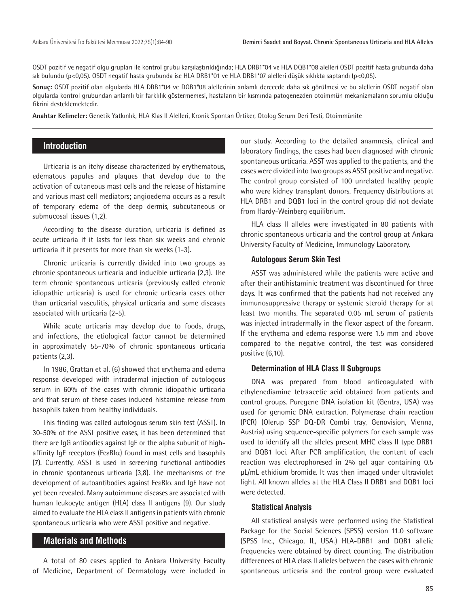OSDT pozitif ve negatif olgu grupları ile kontrol grubu karşılaştırıldığında; HLA DRB1\*04 ve HLA DQB1\*08 alelleri OSDT pozitif hasta grubunda daha sık bulundu (p<0,05). OSDT negatif hasta grubunda ise HLA DRB1\*01 ve HLA DRB1\*07 alelleri düşük sıklıkta saptandı (p<0,05).

**Sonuç:** OSDT pozitif olan olgularda HLA DRB1\*04 ve DQB1\*08 alellerinin anlamlı derecede daha sık görülmesi ve bu alellerin OSDT negatif olan olgularda kontrol grubundan anlamlı bir farklılık göstermemesi, hastaların bir kısmında patogenezden otoimmün mekanizmaların sorumlu olduğu fikrini desteklemektedir.

**Anahtar Kelimeler:** Genetik Yatkınlık, HLA Klas II Alelleri, Kronik Spontan Ürtiker, Otolog Serum Deri Testi, Otoimmünite

# **Introduction**

Urticaria is an itchy disease characterized by erythematous, edematous papules and plaques that develop due to the activation of cutaneous mast cells and the release of histamine and various mast cell mediators; angioedema occurs as a result of temporary edema of the deep dermis, subcutaneous or submucosal tissues (1,2).

According to the disease duration, urticaria is defined as acute urticaria if it lasts for less than six weeks and chronic urticaria if it presents for more than six weeks (1-3).

Chronic urticaria is currently divided into two groups as chronic spontaneous urticaria and inducible urticaria (2,3). The term chronic spontaneous urticaria (previously called chronic idiopathic urticaria) is used for chronic urticaria cases other than urticarial vasculitis, physical urticaria and some diseases associated with urticaria (2-5).

While acute urticaria may develop due to foods, drugs, and infections, the etiological factor cannot be determined in approximately 55-70% of chronic spontaneous urticaria patients (2,3).

In 1986, Grattan et al. (6) showed that erythema and edema response developed with intradermal injection of autologous serum in 60% of the cases with chronic idiopathic urticaria and that serum of these cases induced histamine release from basophils taken from healthy individuals.

This finding was called autologous serum skin test (ASST). In 30-50% of the ASST positive cases, it has been determined that there are IgG antibodies against IgE or the alpha subunit of highaffinity IgE receptors (Fc $\epsilon$ RI $\alpha$ ) found in mast cells and basophils (7). Currently, ASST is used in screening functional antibodies in chronic spontaneous urticaria (3,8). The mechanisms of the development of autoantibodies against FcεRIα and IgE have not yet been revealed. Many autoimmune diseases are associated with human leukocyte antigen (HLA) class II antigens (9). Our study aimed to evaluate the HLA class II antigens in patients with chronic spontaneous urticaria who were ASST positive and negative.

# **Materials and Methods**

A total of 80 cases applied to Ankara University Faculty of Medicine, Department of Dermatology were included in

our study. According to the detailed anamnesis, clinical and laboratory findings, the cases had been diagnosed with chronic spontaneous urticaria. ASST was applied to the patients, and the cases were divided into two groups as ASST positive and negative. The control group consisted of 100 unrelated healthy people who were kidney transplant donors. Frequency distributions at HLA DRB1 and DQB1 loci in the control group did not deviate from Hardy-Weinberg equilibrium.

HLA class II alleles were investigated in 80 patients with chronic spontaneous urticaria and the control group at Ankara University Faculty of Medicine, Immunology Laboratory.

#### **Autologous Serum Skin Test**

ASST was administered while the patients were active and after their antihistaminic treatment was discontinued for three days. It was confirmed that the patients had not received any immunosuppressive therapy or systemic steroid therapy for at least two months. The separated 0.05 mL serum of patients was injected intradermally in the flexor aspect of the forearm. If the erythema and edema response were 1.5 mm and above compared to the negative control, the test was considered positive (6,10).

#### **Determination of HLA Class II Subgroups**

DNA was prepared from blood anticoagulated with ethylenediamine tetraacetic acid obtained from patients and control groups. Puregene DNA isolation kit (Gentra, USA) was used for genomic DNA extraction. Polymerase chain reaction (PCR) (Olerup SSP DQ-DR Combi tray, Genovision, Vienna, Austria) using sequence-specific polymers for each sample was used to identify all the alleles present MHC class II type DRB1 and DQB1 loci. After PCR amplification, the content of each reaction was electrophoresed in 2% gel agar containing 0.5 μL/mL ethidium bromide. It was then imaged under ultraviolet light. All known alleles at the HLA Class II DRB1 and DQB1 loci were detected.

#### **Statistical Analysis**

All statistical analysis were performed using the Statistical Package for the Social Sciences (SPSS) version 11.0 software (SPSS Inc., Chicago, IL, USA.) HLA-DRB1 and DQB1 allelic frequencies were obtained by direct counting. The distribution differences of HLA class II alleles between the cases with chronic spontaneous urticaria and the control group were evaluated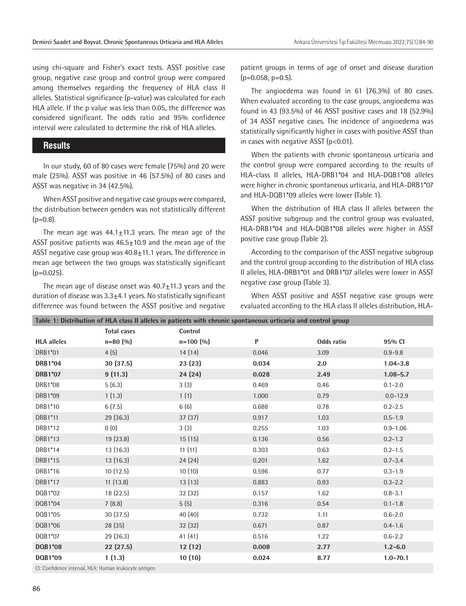using chi-square and Fisher's exact tests. ASST positive case group, negative case group and control group were compared among themselves regarding the frequency of HLA class II alleles. Statistical significance (p-value) was calculated for each HLA allele. If the p value was less than 0.05, the difference was considered significant. The odds ratio and 95% confidence interval were calculated to determine the risk of HLA alleles.

### **Results**

In our study, 60 of 80 cases were female (75%) and 20 were male (25%). ASST was positive in 46 (57.5%) of 80 cases and ASST was negative in 34 (42.5%).

When ASST positive and negative case groups were compared, the distribution between genders was not statistically different  $(p=0.8)$ .

The mean age was  $44.1 \pm 11.3$  years. The mean age of the ASST positive patients was 46.5±10.9 and the mean age of the ASST negative case group was  $40.8 \pm 11.1$  years. The difference in mean age between the two groups was statistically significant  $(p=0.025)$ .

The mean age of disease onset was  $40.7 \pm 11.3$  years and the duration of disease was  $3.3\pm4.1$  years. No statistically significant difference was found between the ASST positive and negative

**Table 1: Distribution of HLA class II alleles in patients with chronic spontaneous urticaria and control group**

patient groups in terms of age of onset and disease duration  $(p=0.058, p=0.5)$ .

The angioedema was found in 61 (76.3%) of 80 cases. When evaluated according to the case groups, angioedema was found in 43 (93.5%) of 46 ASST positive cases and 18 (52.9%) of 34 ASST negative cases. The incidence of angioedema was statistically significantly higher in cases with positive ASST than in cases with negative ASST ( $p$ <0.01).

When the patients with chronic spontaneous urticaria and the control group were compared according to the results of HLA-class II alleles, HLA-DRB1\*04 and HLA-DQB1\*08 alleles were higher in chronic spontaneous urticaria, and HLA-DRB1\*07 and HLA-DQB1\*09 alleles were lower (Table 1).

When the distribution of HLA class II alleles between the ASST positive subgroup and the control group was evaluated, HLA-DRB1\*04 and HLA-DQB1\*08 alleles were higher in ASST positive case group (Table 2).

According to the comparison of the ASST negative subgroup and the control group according to the distribution of HLA class II alleles, HLA-DRB1\*01 and DRB1\*07 alleles were lower in ASST negative case group (Table 3).

When ASST positive and ASST negative case groups were evaluated according to the HLA class II alleles distribution, HLA-

|                                                     | <u>morroweren er rim i einer ir mierer in baerener men einemer skontaneens ar nearm ann eonerer droak</u><br><b>Total cases</b> | Control     |       |            |              |  |
|-----------------------------------------------------|---------------------------------------------------------------------------------------------------------------------------------|-------------|-------|------------|--------------|--|
| <b>HLA</b> alleles                                  | $n=80(%)$                                                                                                                       | $n=100$ (%) | P     | Odds ratio | 95% CI       |  |
| DRB1*01                                             | 4(5)                                                                                                                            | 14(14)      | 0.046 | 3.09       | $0.9 - 9.8$  |  |
| DRB1*04                                             | 30(37.5)                                                                                                                        | 23(23)      | 0.034 | 2.0        | $1.04 - 3.8$ |  |
| DRB1*07                                             | 9(11.3)                                                                                                                         | 24(24)      | 0.028 | 2.49       | $1.08 - 5.7$ |  |
| DRB1*08                                             | 5(6.3)                                                                                                                          | 3(3)        | 0.469 | 0.46       | $0.1 - 2.0$  |  |
| DRB1*09                                             | 1(1.3)                                                                                                                          | 1(1)        | 1.000 | 0.79       | $0.0 - 12.9$ |  |
| DRB1*10                                             | 6(7.5)                                                                                                                          | 6(6)        | 0.688 | 0.78       | $0.2 - 2.5$  |  |
| DRB1*11                                             | 29 (36.3)                                                                                                                       | 37 (37)     | 0.917 | 1.03       | $0.5 - 1.9$  |  |
| DRB1*12                                             | 0(0)                                                                                                                            | 3(3)        | 0.255 | 1.03       | $0.9 - 1.06$ |  |
| DRB1*13                                             | 19 (23.8)                                                                                                                       | 15(15)      | 0.136 | 0.56       | $0.2 - 1.2$  |  |
| DRB1*14                                             | 13(16.3)                                                                                                                        | 11(11)      | 0.303 | 0.63       | $0.2 - 1.5$  |  |
| DRB1*15                                             | 13(16.3)                                                                                                                        | 24(24)      | 0.201 | 1.62       | $0.7 - 3.4$  |  |
| DRB1*16                                             | 10(12.5)                                                                                                                        | 10(10)      | 0.596 | 0.77       | $0.3 - 1.9$  |  |
| DRB1*17                                             | 11(13.8)                                                                                                                        | 13(13)      | 0.883 | 0.93       | $0.3 - 2.2$  |  |
| DQB1*02                                             | 18 (22.5)                                                                                                                       | 32 (32)     | 0.157 | 1.62       | $0.8 - 3.1$  |  |
| DQB1*04                                             | 7(8.8)                                                                                                                          | 5(5)        | 0.316 | 0.54       | $0.1 - 1.8$  |  |
| DQB1*05                                             | 30(37.5)                                                                                                                        | 40 (40)     | 0.732 | 1.11       | $0.6 - 2.0$  |  |
| DQB1*06                                             | 28 (35)                                                                                                                         | 32 (32)     | 0.671 | 0.87       | $0.4 - 1.6$  |  |
| DQB1*07                                             | 29 (36.3)                                                                                                                       | 41(41)      | 0.516 | 1.22       | $0.6 - 2.2$  |  |
| <b>DQB1*08</b>                                      | 22(27.5)                                                                                                                        | 12(12)      | 0.008 | 2.77       | $1.2 - 6.0$  |  |
| DQB1*09                                             | 1(1.3)                                                                                                                          | 10(10)      | 0.024 | 8.77       | $1.0 - 70.1$ |  |
| Cli Canfidance intensal HLA Human leukoeste entigen |                                                                                                                                 |             |       |            |              |  |

CI: Confidence interval, HLA: Human leukocyte antigen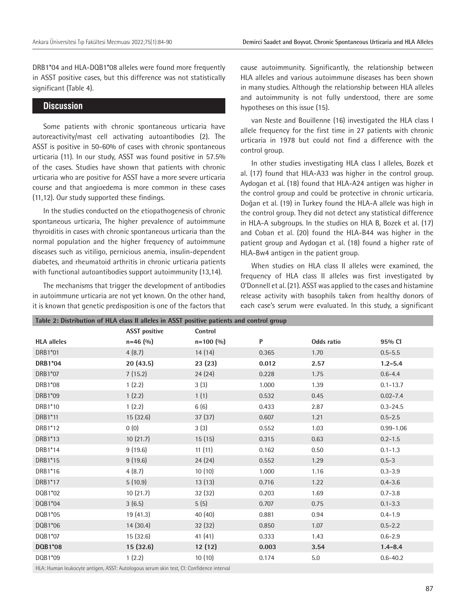DRB1\*04 and HLA-DQB1\*08 alleles were found more frequently in ASST positive cases, but this difference was not statistically significant (Table 4).

#### **Discussion**

Some patients with chronic spontaneous urticaria have autoreactivity/mast cell activating autoantibodies (2). The ASST is positive in 50-60% of cases with chronic spontaneous urticaria (11). In our study, ASST was found positive in 57.5% of the cases. Studies have shown that patients with chronic urticaria who are positive for ASST have a more severe urticaria course and that angioedema is more common in these cases (11,12). Our study supported these findings.

In the studies conducted on the etiopathogenesis of chronic spontaneous urticaria, The higher prevalence of autoimmune thyroiditis in cases with chronic spontaneous urticaria than the normal population and the higher frequency of autoimmune diseases such as vitiligo, pernicious anemia, insulin-dependent diabetes, and rheumatoid arthritis in chronic urticaria patients with functional autoantibodies support autoimmunity (13,14).

The mechanisms that trigger the development of antibodies in autoimmune urticaria are not yet known. On the other hand, it is known that genetic predisposition is one of the factors that

cause autoimmunity. Significantly, the relationship between HLA alleles and various autoimmune diseases has been shown in many studies. Although the relationship between HLA alleles and autoimmunity is not fully understood, there are some hypotheses on this issue (15).

van Neste and Bouillenne (16) investigated the HLA class I allele frequency for the first time in 27 patients with chronic urticaria in 1978 but could not find a difference with the control group.

In other studies investigating HLA class I alleles, Bozek et al. (17) found that HLA-A33 was higher in the control group. Aydogan et al. (18) found that HLA-A24 antigen was higher in the control group and could be protective in chronic urticaria. Doğan et al. (19) in Turkey found the HLA-A allele was high in the control group. They did not detect any statistical difference in HLA-A subgroups. In the studies on HLA B, Bozek et al. (17) and Coban et al. (20) found the HLA-B44 was higher in the patient group and Aydogan et al. (18) found a higher rate of HLA-Bw4 antigen in the patient group.

When studies on HLA class II alleles were examined, the frequency of HLA class II alleles was first investigated by O'Donnell et al. (21). ASST was applied to the cases and histamine release activity with basophils taken from healthy donors of each case's serum were evaluated. In this study, a significant

| ן ככב זו מווידוס באטופטן ועס זו און דער און דומים און דער האט און דער באט און דער באט און דער דער ה |                      |               |       |            |               |  |
|-----------------------------------------------------------------------------------------------------|----------------------|---------------|-------|------------|---------------|--|
|                                                                                                     | <b>ASST positive</b> | Control       |       |            |               |  |
| <b>HLA</b> alleles                                                                                  | $n=46(%)$            | $n = 100$ (%) | P     | Odds ratio | 95% CI        |  |
| DRB1*01                                                                                             | 4(8.7)               | 14(14)        | 0.365 | 1.70       | $0.5 - 5.5$   |  |
| DRB1*04                                                                                             | 20(43.5)             | 23(23)        | 0.012 | 2.57       | $1.2 - 5.4$   |  |
| DRB1*07                                                                                             | 7(15.2)              | 24(24)        | 0.228 | 1.75       | $0.6 - 4.4$   |  |
| DRB1*08                                                                                             | 1(2.2)               | 3(3)          | 1.000 | 1.39       | $0.1 - 13.7$  |  |
| DRB1*09                                                                                             | 1(2.2)               | 1(1)          | 0.532 | 0.45       | $0.02 - 7.4$  |  |
| DRB1*10                                                                                             | 1(2.2)               | 6(6)          | 0.433 | 2.87       | $0.3 - 24.5$  |  |
| DRB1*11                                                                                             | 15 (32.6)            | 37(37)        | 0.607 | 1.21       | $0.5 - 2.5$   |  |
| DRB1*12                                                                                             | 0(0)                 | 3(3)          | 0.552 | 1.03       | $0.99 - 1.06$ |  |
| DRB1*13                                                                                             | 10(21.7)             | 15(15)        | 0.315 | 0.63       | $0.2 - 1.5$   |  |
| DRB1*14                                                                                             | 9(19.6)              | 11(11)        | 0.162 | 0.50       | $0.1 - 1.3$   |  |
| DRB1*15                                                                                             | 9(19.6)              | 24(24)        | 0.552 | 1.29       | $0.5 - 3$     |  |
| DRB1*16                                                                                             | 4(8.7)               | 10(10)        | 1.000 | 1.16       | $0.3 - 3.9$   |  |
| DRB1*17                                                                                             | 5(10.9)              | 13(13)        | 0.716 | 1.22       | $0.4 - 3.6$   |  |
| DQB1*02                                                                                             | 10(21.7)             | 32 (32)       | 0.203 | 1.69       | $0.7 - 3.8$   |  |
| DQB1*04                                                                                             | 3(6.5)               | 5(5)          | 0.707 | 0.75       | $0.1 - 3.3$   |  |
| DQB1*05                                                                                             | 19(41.3)             | 40 (40)       | 0.881 | 0.94       | $0.4 - 1.9$   |  |
| DQB1*06                                                                                             | 14(30.4)             | 32 (32)       | 0.850 | 1.07       | $0.5 - 2.2$   |  |
| DQB1*07                                                                                             | 15 (32.6)            | 41(41)        | 0.333 | 1.43       | $0.6 - 2.9$   |  |
| DQB1*08                                                                                             | 15(32.6)             | 12(12)        | 0.003 | 3.54       | $1.4 - 8.4$   |  |
| DQB1*09                                                                                             | 1(2.2)               | 10(10)        | 0.174 | 5.0        | $0.6 - 40.2$  |  |
| HLA: Human leukocyte antigen, ASST: Autologous serum skin test, CI: Confidence interval             |                      |               |       |            |               |  |

**Table 2: Distribution of HLA class II alleles in ASST positive patients**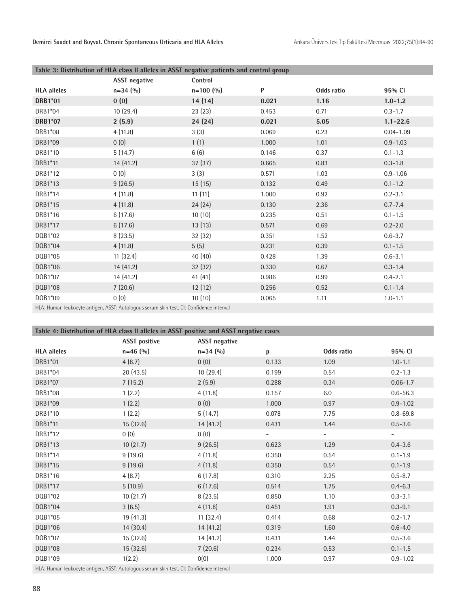| Table 3: Distribution of HLA class II alleles in ASST negative patients and control group |                      |               |       |            |               |  |
|-------------------------------------------------------------------------------------------|----------------------|---------------|-------|------------|---------------|--|
|                                                                                           | <b>ASST</b> negative | Control       |       |            |               |  |
| <b>HLA</b> alleles                                                                        | $n=34(90)$           | $n = 100 (%)$ | P     | Odds ratio | 95% CI        |  |
| <b>DRB1*01</b>                                                                            | 0(0)                 | 14 (14)       | 0.021 | 1.16       | $1.0 - 1.2$   |  |
| DRB1*04                                                                                   | 10(29.4)             | 23(23)        | 0.453 | 0.71       | $0.3 - 1.7$   |  |
| <b>DRB1*07</b>                                                                            | 2(5.9)               | 24(24)        | 0.021 | 5.05       | $1.1 - 22.6$  |  |
| DRB1*08                                                                                   | 4(11.8)              | 3(3)          | 0.069 | 0.23       | $0.04 - 1.09$ |  |
| DRB1*09                                                                                   | 0(0)                 | 1(1)          | 1.000 | 1.01       | $0.9 - 1.03$  |  |
| DRB1*10                                                                                   | 5(14.7)              | 6(6)          | 0.146 | 0.37       | $0.1 - 1.3$   |  |
| DRB1*11                                                                                   | 14 (41.2)            | 37(37)        | 0.665 | 0.83       | $0.3 - 1.8$   |  |
| DRB1*12                                                                                   | 0(0)                 | 3(3)          | 0.571 | 1.03       | $0.9 - 1.06$  |  |
| DRB1*13                                                                                   | 9(26.5)              | 15(15)        | 0.132 | 0.49       | $0.1 - 1.2$   |  |
| DRB1*14                                                                                   | 4(11.8)              | 11(11)        | 1.000 | 0.92       | $0.2 - 3.1$   |  |
| DRB1*15                                                                                   | 4(11.8)              | 24(24)        | 0.130 | 2.36       | $0.7 - 7.4$   |  |
| DRB1*16                                                                                   | 6(17.6)              | 10(10)        | 0.235 | 0.51       | $0.1 - 1.5$   |  |
| DRB1*17                                                                                   | 6(17.6)              | 13(13)        | 0.571 | 0.69       | $0.2 - 2.0$   |  |
| DQB1*02                                                                                   | 8(23.5)              | 32(32)        | 0.351 | 1.52       | $0.6 - 3.7$   |  |
| DQB1*04                                                                                   | 4(11.8)              | 5(5)          | 0.231 | 0.39       | $0.1 - 1.5$   |  |
| DQB1*05                                                                                   | 11(32.4)             | 40 (40)       | 0.428 | 1.39       | $0.6 - 3.1$   |  |
| DQB1*06                                                                                   | 14 (41.2)            | 32(32)        | 0.330 | 0.67       | $0.3 - 1.4$   |  |
| DQB1*07                                                                                   | 14 (41.2)            | 41 (41)       | 0.986 | 0.99       | $0.4 - 2.1$   |  |
| DQB1*08                                                                                   | 7(20.6)              | 12(12)        | 0.256 | 0.52       | $0.1 - 1.4$   |  |
| DQB1*09                                                                                   | 0(0)                 | 10(10)        | 0.065 | 1.11       | $1.0 - 1.1$   |  |
| HLA: Human leukocyte antigen, ASST: Autologous serum skin test, CI: Confidence interval   |                      |               |       |            |               |  |

**Table 4: Distribution of HLA class II alleles in ASST positive and ASST negative cases**

|                                                                                         | <b>ASST positive</b> | <b>ASST</b> negative |                          |                          |              |  |
|-----------------------------------------------------------------------------------------|----------------------|----------------------|--------------------------|--------------------------|--------------|--|
| <b>HLA</b> alleles                                                                      | $n=46(%)$            | $n=34(%)$            | p                        | Odds ratio               | 95% CI       |  |
| DRB1*01                                                                                 | 4(8.7)               | 0(0)                 | 0.133                    | 1.09                     | $1.0 - 1.1$  |  |
| DRB1*04                                                                                 | 20(43.5)             | 10(29.4)             | 0.199                    | 0.54                     | $0.2 - 1.3$  |  |
| DRB1*07                                                                                 | 7(15.2)              | 2(5.9)               | 0.288                    | 0.34                     | $0.06 - 1.7$ |  |
| DRB1*08                                                                                 | 1(2.2)               | 4(11.8)              | 0.157                    | 6.0                      | $0.6 - 56.3$ |  |
| DRB1*09                                                                                 | 1(2.2)               | 0(0)                 | 1.000                    | 0.97                     | $0.9 - 1.02$ |  |
| DRB1*10                                                                                 | 1(2.2)               | 5(14.7)              | 0.078                    | 7.75                     | $0.8 - 69.8$ |  |
| DRB1*11                                                                                 | 15(32.6)             | 14(41.2)             | 0.431                    | 1.44                     | $0.5 - 3.6$  |  |
| DRB1*12                                                                                 | 0(0)                 | 0(0)                 | $\overline{\phantom{a}}$ | $\overline{\phantom{a}}$ |              |  |
| DRB1*13                                                                                 | 10(21.7)             | 9(26.5)              | 0.623                    | 1.29                     | $0.4 - 3.6$  |  |
| DRB1*14                                                                                 | 9(19.6)              | 4(11.8)              | 0.350                    | 0.54                     | $0.1 - 1.9$  |  |
| DRB1*15                                                                                 | 9(19.6)              | 4(11.8)              | 0.350                    | 0.54                     | $0.1 - 1.9$  |  |
| DRB1*16                                                                                 | 4(8.7)               | 6(17.8)              | 0.310                    | 2.25                     | $0.5 - 8.7$  |  |
| DRB1*17                                                                                 | 5(10.9)              | 6(17.6)              | 0.514                    | 1.75                     | $0.4 - 6.3$  |  |
| DQB1*02                                                                                 | 10(21.7)             | 8(23.5)              | 0.850                    | 1.10                     | $0.3 - 3.1$  |  |
| DQB1*04                                                                                 | 3(6.5)               | 4(11.8)              | 0.451                    | 1.91                     | $0.3 - 9.1$  |  |
| DQB1*05                                                                                 | 19(41.3)             | 11(32.4)             | 0.414                    | 0.68                     | $0.2 - 1.7$  |  |
| DQB1*06                                                                                 | 14(30.4)             | 14(41.2)             | 0.319                    | 1.60                     | $0.6 - 4.0$  |  |
| DQB1*07                                                                                 | 15 (32.6)            | 14(41.2)             | 0.431                    | 1.44                     | $0.5 - 3.6$  |  |
| DQB1*08                                                                                 | 15 (32.6)            | 7(20.6)              | 0.234                    | 0.53                     | $0.1 - 1.5$  |  |
| DQB1*09                                                                                 | 1(2.2)               | 0(0)                 | 1.000                    | 0.97                     | $0.9 - 1.02$ |  |
| HLA: Human leukocyte antigen. ASST: Autologous serum skin test. CL: Confidence interval |                      |                      |                          |                          |              |  |

HLA: Human leukocyte antigen, ASST: Autologous serum skin test, CI: Confidence interval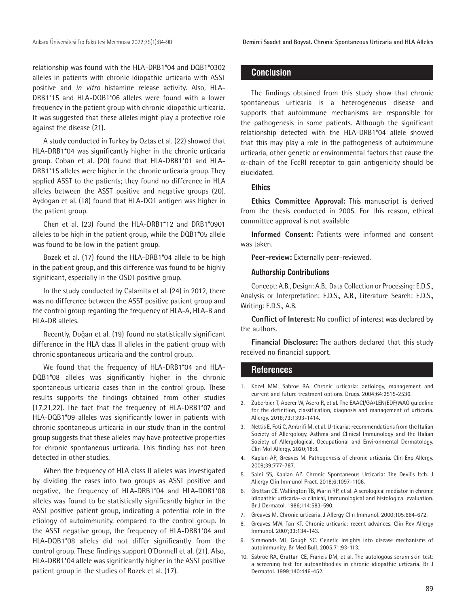relationship was found with the HLA-DRB1\*04 and DQB1\*0302 alleles in patients with chronic idiopathic urticaria with ASST positive and *in vitro* histamine release activity. Also, HLA-DRB1\*15 and HLA-DQB1\*06 alleles were found with a lower frequency in the patient group with chronic idiopathic urticaria. It was suggested that these alleles might play a protective role against the disease (21).

A study conducted in Turkey by Oztas et al. (22) showed that HLA-DRB1\*04 was significantly higher in the chronic urticaria group. Coban et al. (20) found that HLA-DRB1\*01 and HLA-DRB1\*15 alleles were higher in the chronic urticaria group. They applied ASST to the patients; they found no difference in HLA alleles between the ASST positive and negative groups (20). Aydogan et al. (18) found that HLA-DQ1 antigen was higher in the patient group.

Chen et al. (23) found the HLA-DRB1\*12 and DRB1\*0901 alleles to be high in the patient group, while the DQB1\*05 allele was found to be low in the patient group.

Bozek et al. (17) found the HLA-DRB1\*04 allele to be high in the patient group, and this difference was found to be highly significant, especially in the OSDT positive group.

In the study conducted by Calamita et al. (24) in 2012, there was no difference between the ASST positive patient group and the control group regarding the frequency of HLA-A, HLA-B and HLA-DR alleles.

Recently, Doğan et al. (19) found no statistically significant difference in the HLA class II alleles in the patient group with chronic spontaneous urticaria and the control group.

We found that the frequency of HLA-DRB1\*04 and HLA-DQB1\*08 alleles was significantly higher in the chronic spontaneous urticaria cases than in the control group. These results supports the findings obtained from other studies (17,21,22). The fact that the frequency of HLA-DRB1\*07 and HLA-DQB1\*09 alleles was significantly lower in patients with chronic spontaneous urticaria in our study than in the control group suggests that these alleles may have protective properties for chronic spontaneous urticaria. This finding has not been detected in other studies.

When the frequency of HLA class II alleles was investigated by dividing the cases into two groups as ASST positive and negative, the frequency of HLA-DRB1\*04 and HLA-DQB1\*08 alleles was found to be statistically significantly higher in the ASST positive patient group, indicating a potential role in the etiology of autoimmunity, compared to the control group. In the ASST negative group, the frequency of HLA-DRB1\*04 and HLA-DQB1\*08 alleles did not differ significantly from the control group. These findings support O'Donnell et al. (21). Also, HLA-DRB1\*04 allele was significantly higher in the ASST positive patient group in the studies of Bozek et al. (17).

#### **Conclusion**

The findings obtained from this study show that chronic spontaneous urticaria is a heterogeneous disease and supports that autoimmune mechanisms are responsible for the pathogenesis in some patients. Although the significant relationship detected with the HLA-DRB1\*04 allele showed that this may play a role in the pathogenesis of autoimmune urticaria, other genetic or environmental factors that cause the  $\alpha$ -chain of the Fc $\varepsilon$ RI receptor to gain antigenicity should be elucidated.

#### **Ethics**

**Ethics Committee Approval:** This manuscript is derived from the thesis conducted in 2005. For this reason, ethical committee approval is not available

**Informed Consent:** Patients were informed and consent was taken.

**Peer-review:** Externally peer-reviewed.

#### **Authorship Contributions**

Concept: A.B., Design: A.B., Data Collection or Processing: E.D.S., Analysis or Interpretation: E.D.S., A.B., Literature Search: E.D.S., Writing: E.D.S., A.B.

**Conflict of Interest:** No conflict of interest was declared by the authors.

**Financial Disclosure:** The authors declared that this study received no financial support.

#### **References**

- 1. Kozel MM, Sabroe RA. Chronic urticaria: aetiology, management and current and future treatment options. Drugs. 2004;64:2515-2536.
- 2. Zuberbier T, Aberer W, Asero R, et al. The EAACI/GA²LEN/EDF/WAO guideline for the definition, classification, diagnosis and management of urticaria. Allergy. 2018;73:1393-1414.
- 3. Nettis E, Foti C, Ambrifi M, et al. Urticaria: recommendations from the Italian Society of Allergology, Asthma and Clinical Immunology and the Italian Society of Allergological, Occupational and Environmental Dermatology. Clin Mol Allergy. 2020;18:8.
- 4. Kaplan AP, Greaves M. Pathogenesis of chronic urticaria. Clin Exp Allergy. 2009;39:777-787.
- 5. Saini SS, Kaplan AP. Chronic Spontaneous Urticaria: The Devil's Itch. J Allergy Clin Immunol Pract. 2018;6:1097-1106.
- 6. Grattan CE, Wallington TB, Warin RP, et al. A serological mediator in chronic idiopathic urticaria--a clinical, immunological and histological evaluation. Br J Dermatol. 1986;114:583-590.
- 7. Greaves M. Chronic urticaria. J Allergy Clin Immunol. 2000;105:664-672.
- 8. Greaves MW, Tan KT. Chronic urticaria: recent advances. Clin Rev Allergy Immunol. 2007;33:134-143.
- 9. Simmonds MJ, Gough SC. Genetic insights into disease mechanisms of autoimmunity. Br Med Bull. 2005;71:93-113.
- 10. Sabroe RA, Grattan CE, Francis DM, et al. The autologous serum skin test: a screening test for autoantibodies in chronic idiopathic urticaria. Br J Dermatol. 1999;140:446-452.